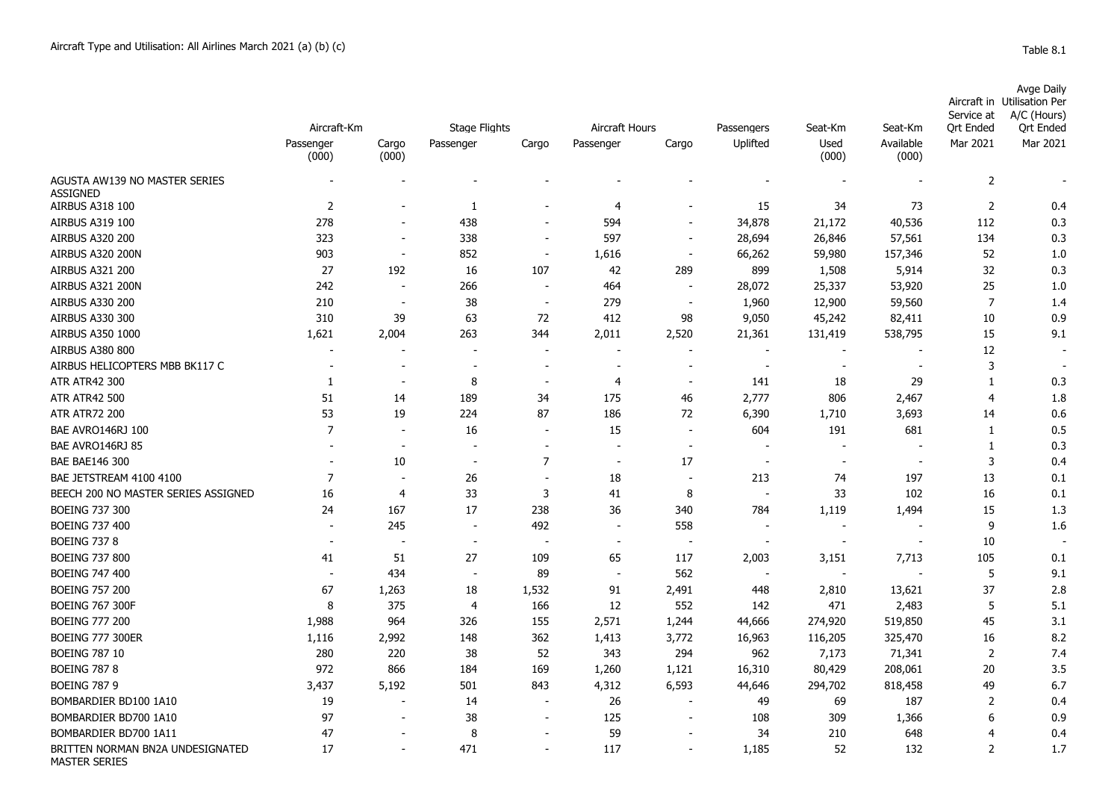MASTER SERIES

| Aircraft-Km<br><b>Stage Flights</b><br>Aircraft Hours<br>Uplifted<br>Used<br>Available<br>Mar 2021<br>Mar 2021<br>Passenger<br>Cargo<br>Cargo<br>Passenger<br>Cargo<br>Passenger<br>(000)<br>(000)<br>(000)<br>(000)<br>AGUSTA AW139 NO MASTER SERIES<br>$\overline{2}$<br><b>ASSIGNED</b><br>$\overline{2}$<br>15<br>$\overline{2}$<br><b>AIRBUS A318 100</b><br>$\overline{4}$<br>34<br>73<br>$\mathbf{1}$<br>0.4<br>278<br>594<br>40,536<br><b>AIRBUS A319 100</b><br>438<br>34,878<br>21,172<br>112<br>0.3<br>323<br>338<br><b>AIRBUS A320 200</b><br>597<br>28,694<br>26,846<br>57,561<br>134<br>0.3<br>$\overline{\phantom{a}}$<br>$\overline{\phantom{a}}$<br>$\overline{\phantom{a}}$<br>903<br>852<br>59,980<br>AIRBUS A320 200N<br>1,616<br>66,262<br>157,346<br>52<br>1.0<br>$\overline{\phantom{a}}$<br>$\overline{\phantom{a}}$<br>$\overline{\phantom{a}}$<br>27<br>192<br>42<br>289<br>899<br>1,508<br>32<br><b>AIRBUS A321 200</b><br>16<br>107<br>5,914<br>0.3<br>242<br>25<br>AIRBUS A321 200N<br>266<br>464<br>28,072<br>25,337<br>53,920<br>1.0<br>$\blacksquare$<br>$\blacksquare$<br>$\blacksquare$<br><b>AIRBUS A330 200</b><br>210<br>38<br>279<br>$\overline{7}$<br>1,960<br>12,900<br>59,560<br>1.4<br>$\overline{\phantom{a}}$<br>$\sim$<br>$\sim$<br>412<br>0.9<br><b>AIRBUS A330 300</b><br>310<br>39<br>63<br>72<br>98<br>9,050<br>45,242<br>82,411<br>10<br>1,621<br>2,004<br>263<br>344<br>2,011<br>2,520<br>21,361<br>538,795<br>15<br>9.1<br>AIRBUS A350 1000<br>131,419<br>12<br><b>AIRBUS A380 800</b><br>$\overline{\phantom{a}}$<br>$\overline{\phantom{a}}$<br>$\overline{\phantom{a}}$<br>3<br>AIRBUS HELICOPTERS MBB BK117 C<br>$\sim$<br>$\overline{\phantom{a}}$<br>$\overline{\phantom{a}}$<br>$\overline{\phantom{a}}$<br>$\overline{\phantom{a}}$<br><b>ATR ATR42 300</b><br>8<br>29<br>0.3<br>4<br>141<br>18<br>$\mathbf{1}$<br>-1<br>$\overline{\phantom{a}}$<br>$\overline{\phantom{a}}$<br>$\overline{\phantom{a}}$<br><b>ATR ATR42 500</b><br>51<br>189<br>175<br>2,777<br>$\overline{4}$<br>14<br>34<br>46<br>806<br>2,467<br>1.8<br>53<br>19<br>224<br>87<br>186<br>6,390<br>3,693<br><b>ATR ATR72 200</b><br>72<br>1,710<br>14<br>0.6<br>$\overline{7}$<br>604<br>191<br>681<br>BAE AVRO146RJ 100<br>16<br>15<br>$\mathbf{1}$<br>0.5<br>$\overline{\phantom{a}}$<br>$\overline{\phantom{a}}$<br>$\overline{\phantom{a}}$<br>BAE AVRO146RJ 85<br>0.3<br>$\mathbf{1}$<br>$\overline{\phantom{a}}$<br>$\overline{\phantom{a}}$<br>$\overline{\phantom{a}}$<br>$\overline{\phantom{a}}$<br>$\overline{7}$<br>3<br><b>BAE BAE146 300</b><br>10<br>17<br>0.4<br>$\blacksquare$<br>$\overline{\phantom{a}}$<br>$\blacksquare$<br>$\overline{7}$<br>26<br>18<br>197<br>13<br>BAE JETSTREAM 4100 4100<br>213<br>74<br>0.1<br>33<br>3<br>8<br>33<br>102<br>BEECH 200 NO MASTER SERIES ASSIGNED<br>16<br>41<br>16<br>0.1<br>4<br>$\overline{\phantom{a}}$<br>17<br>238<br>36<br>1,119<br>1,494<br><b>BOEING 737 300</b><br>24<br>167<br>340<br>784<br>15<br>1.3<br>492<br>9<br><b>BOEING 737 400</b><br>245<br>558<br>1.6<br>$\sim$<br>$\overline{\phantom{a}}$<br>$\blacksquare$<br>$\overline{\phantom{a}}$<br>$\overline{\phantom{a}}$<br>$\blacksquare$<br><b>BOEING 737 8</b><br>10<br>$\overline{\phantom{a}}$<br>51<br>27<br>65<br><b>BOEING 737 800</b><br>41<br>109<br>117<br>2,003<br>3,151<br>7,713<br>105<br>0.1<br>5<br><b>BOEING 747 400</b><br>434<br>89<br>562<br>9.1<br>$\blacksquare$<br>$\overline{\phantom{a}}$<br>37<br><b>BOEING 757 200</b><br>67<br>1,263<br>18<br>1,532<br>91<br>2,491<br>13,621<br>2.8<br>448<br>2,810<br>8<br>375<br>12<br>552<br>471<br>5<br>5.1<br><b>BOEING 767 300F</b><br>$\overline{4}$<br>166<br>142<br>2,483<br>326<br>45<br><b>BOEING 777 200</b><br>1,988<br>964<br>155<br>2,571<br>1,244<br>44,666<br>274,920<br>519,850<br>3.1<br><b>BOEING 777 300ER</b><br>1,116<br>2,992<br>148<br>362<br>1,413<br>3,772<br>16,963<br>116,205<br>325,470<br>16<br>8.2<br><b>BOEING 787 10</b><br>280<br>220<br>38<br>52<br>343<br>294<br>962<br>7,173<br>$\overline{2}$<br>71,341<br>7.4<br><b>BOEING 787 8</b><br>972<br>208,061<br>20<br>3.5<br>866<br>184<br>169<br>1,260<br>1,121<br>16,310<br>80,429<br>3,437<br><b>BOEING 787 9</b><br>5,192<br>501<br>843<br>4,312<br>6,593<br>44,646<br>294,702<br>818,458<br>49<br>6.7<br>187<br>BOMBARDIER BD100 1A10<br>19<br>26<br>49<br>69<br>$\overline{2}$<br>0.4<br>14<br>97<br>38<br>125<br>BOMBARDIER BD700 1A10<br>108<br>309<br>1,366<br>6<br>0.9<br>59<br>BOMBARDIER BD700 1A11<br>47<br>8<br>34<br>210<br>648<br>0.4<br>4 |                                  |    |  |     |     |            |         |         | Service at               | <b>Avge Daily</b><br>Aircraft in Utilisation Per<br>A/C (Hours) |
|----------------------------------------------------------------------------------------------------------------------------------------------------------------------------------------------------------------------------------------------------------------------------------------------------------------------------------------------------------------------------------------------------------------------------------------------------------------------------------------------------------------------------------------------------------------------------------------------------------------------------------------------------------------------------------------------------------------------------------------------------------------------------------------------------------------------------------------------------------------------------------------------------------------------------------------------------------------------------------------------------------------------------------------------------------------------------------------------------------------------------------------------------------------------------------------------------------------------------------------------------------------------------------------------------------------------------------------------------------------------------------------------------------------------------------------------------------------------------------------------------------------------------------------------------------------------------------------------------------------------------------------------------------------------------------------------------------------------------------------------------------------------------------------------------------------------------------------------------------------------------------------------------------------------------------------------------------------------------------------------------------------------------------------------------------------------------------------------------------------------------------------------------------------------------------------------------------------------------------------------------------------------------------------------------------------------------------------------------------------------------------------------------------------------------------------------------------------------------------------------------------------------------------------------------------------------------------------------------------------------------------------------------------------------------------------------------------------------------------------------------------------------------------------------------------------------------------------------------------------------------------------------------------------------------------------------------------------------------------------------------------------------------------------------------------------------------------------------------------------------------------------------------------------------------------------------------------------------------------------------------------------------------------------------------------------------------------------------------------------------------------------------------------------------------------------------------------------------------------------------------------------------------------------------------------------------------------------------------------------------------------------------------------------------------------------------------------------------------------------------------------------------------------------------------------------------------------------------------------------------------------------------------------------------------------------------------------------------------------------------------------------------------------------------------------------------------------------------------------------------------------------------------------------------------------------------------------------------------------------------------------------------------------------------------------------------------------------------------------------------------------------------------------------------------------------------------------------------------------------------------------------------------------------------------------------------|----------------------------------|----|--|-----|-----|------------|---------|---------|--------------------------|-----------------------------------------------------------------|
|                                                                                                                                                                                                                                                                                                                                                                                                                                                                                                                                                                                                                                                                                                                                                                                                                                                                                                                                                                                                                                                                                                                                                                                                                                                                                                                                                                                                                                                                                                                                                                                                                                                                                                                                                                                                                                                                                                                                                                                                                                                                                                                                                                                                                                                                                                                                                                                                                                                                                                                                                                                                                                                                                                                                                                                                                                                                                                                                                                                                                                                                                                                                                                                                                                                                                                                                                                                                                                                                                                                                                                                                                                                                                                                                                                                                                                                                                                                                                                                                                                                                                                                                                                                                                                                                                                                                                                                                                                                                                                                                                                      |                                  |    |  |     |     | Passengers | Seat-Km | Seat-Km | <b>Ort Ended</b>         | <b>Ort Ended</b>                                                |
|                                                                                                                                                                                                                                                                                                                                                                                                                                                                                                                                                                                                                                                                                                                                                                                                                                                                                                                                                                                                                                                                                                                                                                                                                                                                                                                                                                                                                                                                                                                                                                                                                                                                                                                                                                                                                                                                                                                                                                                                                                                                                                                                                                                                                                                                                                                                                                                                                                                                                                                                                                                                                                                                                                                                                                                                                                                                                                                                                                                                                                                                                                                                                                                                                                                                                                                                                                                                                                                                                                                                                                                                                                                                                                                                                                                                                                                                                                                                                                                                                                                                                                                                                                                                                                                                                                                                                                                                                                                                                                                                                                      |                                  |    |  |     |     |            |         |         |                          |                                                                 |
|                                                                                                                                                                                                                                                                                                                                                                                                                                                                                                                                                                                                                                                                                                                                                                                                                                                                                                                                                                                                                                                                                                                                                                                                                                                                                                                                                                                                                                                                                                                                                                                                                                                                                                                                                                                                                                                                                                                                                                                                                                                                                                                                                                                                                                                                                                                                                                                                                                                                                                                                                                                                                                                                                                                                                                                                                                                                                                                                                                                                                                                                                                                                                                                                                                                                                                                                                                                                                                                                                                                                                                                                                                                                                                                                                                                                                                                                                                                                                                                                                                                                                                                                                                                                                                                                                                                                                                                                                                                                                                                                                                      |                                  |    |  |     |     |            |         |         |                          |                                                                 |
|                                                                                                                                                                                                                                                                                                                                                                                                                                                                                                                                                                                                                                                                                                                                                                                                                                                                                                                                                                                                                                                                                                                                                                                                                                                                                                                                                                                                                                                                                                                                                                                                                                                                                                                                                                                                                                                                                                                                                                                                                                                                                                                                                                                                                                                                                                                                                                                                                                                                                                                                                                                                                                                                                                                                                                                                                                                                                                                                                                                                                                                                                                                                                                                                                                                                                                                                                                                                                                                                                                                                                                                                                                                                                                                                                                                                                                                                                                                                                                                                                                                                                                                                                                                                                                                                                                                                                                                                                                                                                                                                                                      |                                  |    |  |     |     |            |         |         |                          |                                                                 |
|                                                                                                                                                                                                                                                                                                                                                                                                                                                                                                                                                                                                                                                                                                                                                                                                                                                                                                                                                                                                                                                                                                                                                                                                                                                                                                                                                                                                                                                                                                                                                                                                                                                                                                                                                                                                                                                                                                                                                                                                                                                                                                                                                                                                                                                                                                                                                                                                                                                                                                                                                                                                                                                                                                                                                                                                                                                                                                                                                                                                                                                                                                                                                                                                                                                                                                                                                                                                                                                                                                                                                                                                                                                                                                                                                                                                                                                                                                                                                                                                                                                                                                                                                                                                                                                                                                                                                                                                                                                                                                                                                                      |                                  |    |  |     |     |            |         |         |                          |                                                                 |
|                                                                                                                                                                                                                                                                                                                                                                                                                                                                                                                                                                                                                                                                                                                                                                                                                                                                                                                                                                                                                                                                                                                                                                                                                                                                                                                                                                                                                                                                                                                                                                                                                                                                                                                                                                                                                                                                                                                                                                                                                                                                                                                                                                                                                                                                                                                                                                                                                                                                                                                                                                                                                                                                                                                                                                                                                                                                                                                                                                                                                                                                                                                                                                                                                                                                                                                                                                                                                                                                                                                                                                                                                                                                                                                                                                                                                                                                                                                                                                                                                                                                                                                                                                                                                                                                                                                                                                                                                                                                                                                                                                      |                                  |    |  |     |     |            |         |         |                          |                                                                 |
|                                                                                                                                                                                                                                                                                                                                                                                                                                                                                                                                                                                                                                                                                                                                                                                                                                                                                                                                                                                                                                                                                                                                                                                                                                                                                                                                                                                                                                                                                                                                                                                                                                                                                                                                                                                                                                                                                                                                                                                                                                                                                                                                                                                                                                                                                                                                                                                                                                                                                                                                                                                                                                                                                                                                                                                                                                                                                                                                                                                                                                                                                                                                                                                                                                                                                                                                                                                                                                                                                                                                                                                                                                                                                                                                                                                                                                                                                                                                                                                                                                                                                                                                                                                                                                                                                                                                                                                                                                                                                                                                                                      |                                  |    |  |     |     |            |         |         |                          |                                                                 |
|                                                                                                                                                                                                                                                                                                                                                                                                                                                                                                                                                                                                                                                                                                                                                                                                                                                                                                                                                                                                                                                                                                                                                                                                                                                                                                                                                                                                                                                                                                                                                                                                                                                                                                                                                                                                                                                                                                                                                                                                                                                                                                                                                                                                                                                                                                                                                                                                                                                                                                                                                                                                                                                                                                                                                                                                                                                                                                                                                                                                                                                                                                                                                                                                                                                                                                                                                                                                                                                                                                                                                                                                                                                                                                                                                                                                                                                                                                                                                                                                                                                                                                                                                                                                                                                                                                                                                                                                                                                                                                                                                                      |                                  |    |  |     |     |            |         |         |                          |                                                                 |
|                                                                                                                                                                                                                                                                                                                                                                                                                                                                                                                                                                                                                                                                                                                                                                                                                                                                                                                                                                                                                                                                                                                                                                                                                                                                                                                                                                                                                                                                                                                                                                                                                                                                                                                                                                                                                                                                                                                                                                                                                                                                                                                                                                                                                                                                                                                                                                                                                                                                                                                                                                                                                                                                                                                                                                                                                                                                                                                                                                                                                                                                                                                                                                                                                                                                                                                                                                                                                                                                                                                                                                                                                                                                                                                                                                                                                                                                                                                                                                                                                                                                                                                                                                                                                                                                                                                                                                                                                                                                                                                                                                      |                                  |    |  |     |     |            |         |         |                          |                                                                 |
|                                                                                                                                                                                                                                                                                                                                                                                                                                                                                                                                                                                                                                                                                                                                                                                                                                                                                                                                                                                                                                                                                                                                                                                                                                                                                                                                                                                                                                                                                                                                                                                                                                                                                                                                                                                                                                                                                                                                                                                                                                                                                                                                                                                                                                                                                                                                                                                                                                                                                                                                                                                                                                                                                                                                                                                                                                                                                                                                                                                                                                                                                                                                                                                                                                                                                                                                                                                                                                                                                                                                                                                                                                                                                                                                                                                                                                                                                                                                                                                                                                                                                                                                                                                                                                                                                                                                                                                                                                                                                                                                                                      |                                  |    |  |     |     |            |         |         |                          |                                                                 |
|                                                                                                                                                                                                                                                                                                                                                                                                                                                                                                                                                                                                                                                                                                                                                                                                                                                                                                                                                                                                                                                                                                                                                                                                                                                                                                                                                                                                                                                                                                                                                                                                                                                                                                                                                                                                                                                                                                                                                                                                                                                                                                                                                                                                                                                                                                                                                                                                                                                                                                                                                                                                                                                                                                                                                                                                                                                                                                                                                                                                                                                                                                                                                                                                                                                                                                                                                                                                                                                                                                                                                                                                                                                                                                                                                                                                                                                                                                                                                                                                                                                                                                                                                                                                                                                                                                                                                                                                                                                                                                                                                                      |                                  |    |  |     |     |            |         |         |                          |                                                                 |
|                                                                                                                                                                                                                                                                                                                                                                                                                                                                                                                                                                                                                                                                                                                                                                                                                                                                                                                                                                                                                                                                                                                                                                                                                                                                                                                                                                                                                                                                                                                                                                                                                                                                                                                                                                                                                                                                                                                                                                                                                                                                                                                                                                                                                                                                                                                                                                                                                                                                                                                                                                                                                                                                                                                                                                                                                                                                                                                                                                                                                                                                                                                                                                                                                                                                                                                                                                                                                                                                                                                                                                                                                                                                                                                                                                                                                                                                                                                                                                                                                                                                                                                                                                                                                                                                                                                                                                                                                                                                                                                                                                      |                                  |    |  |     |     |            |         |         |                          |                                                                 |
|                                                                                                                                                                                                                                                                                                                                                                                                                                                                                                                                                                                                                                                                                                                                                                                                                                                                                                                                                                                                                                                                                                                                                                                                                                                                                                                                                                                                                                                                                                                                                                                                                                                                                                                                                                                                                                                                                                                                                                                                                                                                                                                                                                                                                                                                                                                                                                                                                                                                                                                                                                                                                                                                                                                                                                                                                                                                                                                                                                                                                                                                                                                                                                                                                                                                                                                                                                                                                                                                                                                                                                                                                                                                                                                                                                                                                                                                                                                                                                                                                                                                                                                                                                                                                                                                                                                                                                                                                                                                                                                                                                      |                                  |    |  |     |     |            |         |         |                          |                                                                 |
|                                                                                                                                                                                                                                                                                                                                                                                                                                                                                                                                                                                                                                                                                                                                                                                                                                                                                                                                                                                                                                                                                                                                                                                                                                                                                                                                                                                                                                                                                                                                                                                                                                                                                                                                                                                                                                                                                                                                                                                                                                                                                                                                                                                                                                                                                                                                                                                                                                                                                                                                                                                                                                                                                                                                                                                                                                                                                                                                                                                                                                                                                                                                                                                                                                                                                                                                                                                                                                                                                                                                                                                                                                                                                                                                                                                                                                                                                                                                                                                                                                                                                                                                                                                                                                                                                                                                                                                                                                                                                                                                                                      |                                  |    |  |     |     |            |         |         |                          |                                                                 |
|                                                                                                                                                                                                                                                                                                                                                                                                                                                                                                                                                                                                                                                                                                                                                                                                                                                                                                                                                                                                                                                                                                                                                                                                                                                                                                                                                                                                                                                                                                                                                                                                                                                                                                                                                                                                                                                                                                                                                                                                                                                                                                                                                                                                                                                                                                                                                                                                                                                                                                                                                                                                                                                                                                                                                                                                                                                                                                                                                                                                                                                                                                                                                                                                                                                                                                                                                                                                                                                                                                                                                                                                                                                                                                                                                                                                                                                                                                                                                                                                                                                                                                                                                                                                                                                                                                                                                                                                                                                                                                                                                                      |                                  |    |  |     |     |            |         |         |                          |                                                                 |
|                                                                                                                                                                                                                                                                                                                                                                                                                                                                                                                                                                                                                                                                                                                                                                                                                                                                                                                                                                                                                                                                                                                                                                                                                                                                                                                                                                                                                                                                                                                                                                                                                                                                                                                                                                                                                                                                                                                                                                                                                                                                                                                                                                                                                                                                                                                                                                                                                                                                                                                                                                                                                                                                                                                                                                                                                                                                                                                                                                                                                                                                                                                                                                                                                                                                                                                                                                                                                                                                                                                                                                                                                                                                                                                                                                                                                                                                                                                                                                                                                                                                                                                                                                                                                                                                                                                                                                                                                                                                                                                                                                      |                                  |    |  |     |     |            |         |         |                          |                                                                 |
|                                                                                                                                                                                                                                                                                                                                                                                                                                                                                                                                                                                                                                                                                                                                                                                                                                                                                                                                                                                                                                                                                                                                                                                                                                                                                                                                                                                                                                                                                                                                                                                                                                                                                                                                                                                                                                                                                                                                                                                                                                                                                                                                                                                                                                                                                                                                                                                                                                                                                                                                                                                                                                                                                                                                                                                                                                                                                                                                                                                                                                                                                                                                                                                                                                                                                                                                                                                                                                                                                                                                                                                                                                                                                                                                                                                                                                                                                                                                                                                                                                                                                                                                                                                                                                                                                                                                                                                                                                                                                                                                                                      |                                  |    |  |     |     |            |         |         |                          |                                                                 |
|                                                                                                                                                                                                                                                                                                                                                                                                                                                                                                                                                                                                                                                                                                                                                                                                                                                                                                                                                                                                                                                                                                                                                                                                                                                                                                                                                                                                                                                                                                                                                                                                                                                                                                                                                                                                                                                                                                                                                                                                                                                                                                                                                                                                                                                                                                                                                                                                                                                                                                                                                                                                                                                                                                                                                                                                                                                                                                                                                                                                                                                                                                                                                                                                                                                                                                                                                                                                                                                                                                                                                                                                                                                                                                                                                                                                                                                                                                                                                                                                                                                                                                                                                                                                                                                                                                                                                                                                                                                                                                                                                                      |                                  |    |  |     |     |            |         |         |                          |                                                                 |
|                                                                                                                                                                                                                                                                                                                                                                                                                                                                                                                                                                                                                                                                                                                                                                                                                                                                                                                                                                                                                                                                                                                                                                                                                                                                                                                                                                                                                                                                                                                                                                                                                                                                                                                                                                                                                                                                                                                                                                                                                                                                                                                                                                                                                                                                                                                                                                                                                                                                                                                                                                                                                                                                                                                                                                                                                                                                                                                                                                                                                                                                                                                                                                                                                                                                                                                                                                                                                                                                                                                                                                                                                                                                                                                                                                                                                                                                                                                                                                                                                                                                                                                                                                                                                                                                                                                                                                                                                                                                                                                                                                      |                                  |    |  |     |     |            |         |         |                          |                                                                 |
|                                                                                                                                                                                                                                                                                                                                                                                                                                                                                                                                                                                                                                                                                                                                                                                                                                                                                                                                                                                                                                                                                                                                                                                                                                                                                                                                                                                                                                                                                                                                                                                                                                                                                                                                                                                                                                                                                                                                                                                                                                                                                                                                                                                                                                                                                                                                                                                                                                                                                                                                                                                                                                                                                                                                                                                                                                                                                                                                                                                                                                                                                                                                                                                                                                                                                                                                                                                                                                                                                                                                                                                                                                                                                                                                                                                                                                                                                                                                                                                                                                                                                                                                                                                                                                                                                                                                                                                                                                                                                                                                                                      |                                  |    |  |     |     |            |         |         |                          |                                                                 |
|                                                                                                                                                                                                                                                                                                                                                                                                                                                                                                                                                                                                                                                                                                                                                                                                                                                                                                                                                                                                                                                                                                                                                                                                                                                                                                                                                                                                                                                                                                                                                                                                                                                                                                                                                                                                                                                                                                                                                                                                                                                                                                                                                                                                                                                                                                                                                                                                                                                                                                                                                                                                                                                                                                                                                                                                                                                                                                                                                                                                                                                                                                                                                                                                                                                                                                                                                                                                                                                                                                                                                                                                                                                                                                                                                                                                                                                                                                                                                                                                                                                                                                                                                                                                                                                                                                                                                                                                                                                                                                                                                                      |                                  |    |  |     |     |            |         |         |                          |                                                                 |
|                                                                                                                                                                                                                                                                                                                                                                                                                                                                                                                                                                                                                                                                                                                                                                                                                                                                                                                                                                                                                                                                                                                                                                                                                                                                                                                                                                                                                                                                                                                                                                                                                                                                                                                                                                                                                                                                                                                                                                                                                                                                                                                                                                                                                                                                                                                                                                                                                                                                                                                                                                                                                                                                                                                                                                                                                                                                                                                                                                                                                                                                                                                                                                                                                                                                                                                                                                                                                                                                                                                                                                                                                                                                                                                                                                                                                                                                                                                                                                                                                                                                                                                                                                                                                                                                                                                                                                                                                                                                                                                                                                      |                                  |    |  |     |     |            |         |         |                          |                                                                 |
|                                                                                                                                                                                                                                                                                                                                                                                                                                                                                                                                                                                                                                                                                                                                                                                                                                                                                                                                                                                                                                                                                                                                                                                                                                                                                                                                                                                                                                                                                                                                                                                                                                                                                                                                                                                                                                                                                                                                                                                                                                                                                                                                                                                                                                                                                                                                                                                                                                                                                                                                                                                                                                                                                                                                                                                                                                                                                                                                                                                                                                                                                                                                                                                                                                                                                                                                                                                                                                                                                                                                                                                                                                                                                                                                                                                                                                                                                                                                                                                                                                                                                                                                                                                                                                                                                                                                                                                                                                                                                                                                                                      |                                  |    |  |     |     |            |         |         |                          |                                                                 |
|                                                                                                                                                                                                                                                                                                                                                                                                                                                                                                                                                                                                                                                                                                                                                                                                                                                                                                                                                                                                                                                                                                                                                                                                                                                                                                                                                                                                                                                                                                                                                                                                                                                                                                                                                                                                                                                                                                                                                                                                                                                                                                                                                                                                                                                                                                                                                                                                                                                                                                                                                                                                                                                                                                                                                                                                                                                                                                                                                                                                                                                                                                                                                                                                                                                                                                                                                                                                                                                                                                                                                                                                                                                                                                                                                                                                                                                                                                                                                                                                                                                                                                                                                                                                                                                                                                                                                                                                                                                                                                                                                                      |                                  |    |  |     |     |            |         |         |                          |                                                                 |
|                                                                                                                                                                                                                                                                                                                                                                                                                                                                                                                                                                                                                                                                                                                                                                                                                                                                                                                                                                                                                                                                                                                                                                                                                                                                                                                                                                                                                                                                                                                                                                                                                                                                                                                                                                                                                                                                                                                                                                                                                                                                                                                                                                                                                                                                                                                                                                                                                                                                                                                                                                                                                                                                                                                                                                                                                                                                                                                                                                                                                                                                                                                                                                                                                                                                                                                                                                                                                                                                                                                                                                                                                                                                                                                                                                                                                                                                                                                                                                                                                                                                                                                                                                                                                                                                                                                                                                                                                                                                                                                                                                      |                                  |    |  |     |     |            |         |         |                          |                                                                 |
|                                                                                                                                                                                                                                                                                                                                                                                                                                                                                                                                                                                                                                                                                                                                                                                                                                                                                                                                                                                                                                                                                                                                                                                                                                                                                                                                                                                                                                                                                                                                                                                                                                                                                                                                                                                                                                                                                                                                                                                                                                                                                                                                                                                                                                                                                                                                                                                                                                                                                                                                                                                                                                                                                                                                                                                                                                                                                                                                                                                                                                                                                                                                                                                                                                                                                                                                                                                                                                                                                                                                                                                                                                                                                                                                                                                                                                                                                                                                                                                                                                                                                                                                                                                                                                                                                                                                                                                                                                                                                                                                                                      |                                  |    |  |     |     |            |         |         |                          |                                                                 |
|                                                                                                                                                                                                                                                                                                                                                                                                                                                                                                                                                                                                                                                                                                                                                                                                                                                                                                                                                                                                                                                                                                                                                                                                                                                                                                                                                                                                                                                                                                                                                                                                                                                                                                                                                                                                                                                                                                                                                                                                                                                                                                                                                                                                                                                                                                                                                                                                                                                                                                                                                                                                                                                                                                                                                                                                                                                                                                                                                                                                                                                                                                                                                                                                                                                                                                                                                                                                                                                                                                                                                                                                                                                                                                                                                                                                                                                                                                                                                                                                                                                                                                                                                                                                                                                                                                                                                                                                                                                                                                                                                                      |                                  |    |  |     |     |            |         |         |                          |                                                                 |
|                                                                                                                                                                                                                                                                                                                                                                                                                                                                                                                                                                                                                                                                                                                                                                                                                                                                                                                                                                                                                                                                                                                                                                                                                                                                                                                                                                                                                                                                                                                                                                                                                                                                                                                                                                                                                                                                                                                                                                                                                                                                                                                                                                                                                                                                                                                                                                                                                                                                                                                                                                                                                                                                                                                                                                                                                                                                                                                                                                                                                                                                                                                                                                                                                                                                                                                                                                                                                                                                                                                                                                                                                                                                                                                                                                                                                                                                                                                                                                                                                                                                                                                                                                                                                                                                                                                                                                                                                                                                                                                                                                      |                                  |    |  |     |     |            |         |         |                          |                                                                 |
|                                                                                                                                                                                                                                                                                                                                                                                                                                                                                                                                                                                                                                                                                                                                                                                                                                                                                                                                                                                                                                                                                                                                                                                                                                                                                                                                                                                                                                                                                                                                                                                                                                                                                                                                                                                                                                                                                                                                                                                                                                                                                                                                                                                                                                                                                                                                                                                                                                                                                                                                                                                                                                                                                                                                                                                                                                                                                                                                                                                                                                                                                                                                                                                                                                                                                                                                                                                                                                                                                                                                                                                                                                                                                                                                                                                                                                                                                                                                                                                                                                                                                                                                                                                                                                                                                                                                                                                                                                                                                                                                                                      |                                  |    |  |     |     |            |         |         |                          |                                                                 |
|                                                                                                                                                                                                                                                                                                                                                                                                                                                                                                                                                                                                                                                                                                                                                                                                                                                                                                                                                                                                                                                                                                                                                                                                                                                                                                                                                                                                                                                                                                                                                                                                                                                                                                                                                                                                                                                                                                                                                                                                                                                                                                                                                                                                                                                                                                                                                                                                                                                                                                                                                                                                                                                                                                                                                                                                                                                                                                                                                                                                                                                                                                                                                                                                                                                                                                                                                                                                                                                                                                                                                                                                                                                                                                                                                                                                                                                                                                                                                                                                                                                                                                                                                                                                                                                                                                                                                                                                                                                                                                                                                                      |                                  |    |  |     |     |            |         |         |                          |                                                                 |
|                                                                                                                                                                                                                                                                                                                                                                                                                                                                                                                                                                                                                                                                                                                                                                                                                                                                                                                                                                                                                                                                                                                                                                                                                                                                                                                                                                                                                                                                                                                                                                                                                                                                                                                                                                                                                                                                                                                                                                                                                                                                                                                                                                                                                                                                                                                                                                                                                                                                                                                                                                                                                                                                                                                                                                                                                                                                                                                                                                                                                                                                                                                                                                                                                                                                                                                                                                                                                                                                                                                                                                                                                                                                                                                                                                                                                                                                                                                                                                                                                                                                                                                                                                                                                                                                                                                                                                                                                                                                                                                                                                      |                                  |    |  |     |     |            |         |         |                          |                                                                 |
|                                                                                                                                                                                                                                                                                                                                                                                                                                                                                                                                                                                                                                                                                                                                                                                                                                                                                                                                                                                                                                                                                                                                                                                                                                                                                                                                                                                                                                                                                                                                                                                                                                                                                                                                                                                                                                                                                                                                                                                                                                                                                                                                                                                                                                                                                                                                                                                                                                                                                                                                                                                                                                                                                                                                                                                                                                                                                                                                                                                                                                                                                                                                                                                                                                                                                                                                                                                                                                                                                                                                                                                                                                                                                                                                                                                                                                                                                                                                                                                                                                                                                                                                                                                                                                                                                                                                                                                                                                                                                                                                                                      |                                  |    |  |     |     |            |         |         |                          |                                                                 |
|                                                                                                                                                                                                                                                                                                                                                                                                                                                                                                                                                                                                                                                                                                                                                                                                                                                                                                                                                                                                                                                                                                                                                                                                                                                                                                                                                                                                                                                                                                                                                                                                                                                                                                                                                                                                                                                                                                                                                                                                                                                                                                                                                                                                                                                                                                                                                                                                                                                                                                                                                                                                                                                                                                                                                                                                                                                                                                                                                                                                                                                                                                                                                                                                                                                                                                                                                                                                                                                                                                                                                                                                                                                                                                                                                                                                                                                                                                                                                                                                                                                                                                                                                                                                                                                                                                                                                                                                                                                                                                                                                                      |                                  |    |  |     |     |            |         |         |                          |                                                                 |
|                                                                                                                                                                                                                                                                                                                                                                                                                                                                                                                                                                                                                                                                                                                                                                                                                                                                                                                                                                                                                                                                                                                                                                                                                                                                                                                                                                                                                                                                                                                                                                                                                                                                                                                                                                                                                                                                                                                                                                                                                                                                                                                                                                                                                                                                                                                                                                                                                                                                                                                                                                                                                                                                                                                                                                                                                                                                                                                                                                                                                                                                                                                                                                                                                                                                                                                                                                                                                                                                                                                                                                                                                                                                                                                                                                                                                                                                                                                                                                                                                                                                                                                                                                                                                                                                                                                                                                                                                                                                                                                                                                      |                                  |    |  |     |     |            |         |         |                          |                                                                 |
|                                                                                                                                                                                                                                                                                                                                                                                                                                                                                                                                                                                                                                                                                                                                                                                                                                                                                                                                                                                                                                                                                                                                                                                                                                                                                                                                                                                                                                                                                                                                                                                                                                                                                                                                                                                                                                                                                                                                                                                                                                                                                                                                                                                                                                                                                                                                                                                                                                                                                                                                                                                                                                                                                                                                                                                                                                                                                                                                                                                                                                                                                                                                                                                                                                                                                                                                                                                                                                                                                                                                                                                                                                                                                                                                                                                                                                                                                                                                                                                                                                                                                                                                                                                                                                                                                                                                                                                                                                                                                                                                                                      |                                  |    |  |     |     |            |         |         |                          |                                                                 |
|                                                                                                                                                                                                                                                                                                                                                                                                                                                                                                                                                                                                                                                                                                                                                                                                                                                                                                                                                                                                                                                                                                                                                                                                                                                                                                                                                                                                                                                                                                                                                                                                                                                                                                                                                                                                                                                                                                                                                                                                                                                                                                                                                                                                                                                                                                                                                                                                                                                                                                                                                                                                                                                                                                                                                                                                                                                                                                                                                                                                                                                                                                                                                                                                                                                                                                                                                                                                                                                                                                                                                                                                                                                                                                                                                                                                                                                                                                                                                                                                                                                                                                                                                                                                                                                                                                                                                                                                                                                                                                                                                                      |                                  |    |  |     |     |            |         |         |                          |                                                                 |
|                                                                                                                                                                                                                                                                                                                                                                                                                                                                                                                                                                                                                                                                                                                                                                                                                                                                                                                                                                                                                                                                                                                                                                                                                                                                                                                                                                                                                                                                                                                                                                                                                                                                                                                                                                                                                                                                                                                                                                                                                                                                                                                                                                                                                                                                                                                                                                                                                                                                                                                                                                                                                                                                                                                                                                                                                                                                                                                                                                                                                                                                                                                                                                                                                                                                                                                                                                                                                                                                                                                                                                                                                                                                                                                                                                                                                                                                                                                                                                                                                                                                                                                                                                                                                                                                                                                                                                                                                                                                                                                                                                      |                                  |    |  |     |     |            |         |         |                          |                                                                 |
|                                                                                                                                                                                                                                                                                                                                                                                                                                                                                                                                                                                                                                                                                                                                                                                                                                                                                                                                                                                                                                                                                                                                                                                                                                                                                                                                                                                                                                                                                                                                                                                                                                                                                                                                                                                                                                                                                                                                                                                                                                                                                                                                                                                                                                                                                                                                                                                                                                                                                                                                                                                                                                                                                                                                                                                                                                                                                                                                                                                                                                                                                                                                                                                                                                                                                                                                                                                                                                                                                                                                                                                                                                                                                                                                                                                                                                                                                                                                                                                                                                                                                                                                                                                                                                                                                                                                                                                                                                                                                                                                                                      | BRITTEN NORMAN BN2A UNDESIGNATED | 17 |  | 471 | 117 | 1,185      | 52      | 132     | $\overline{\phantom{0}}$ | 1.7                                                             |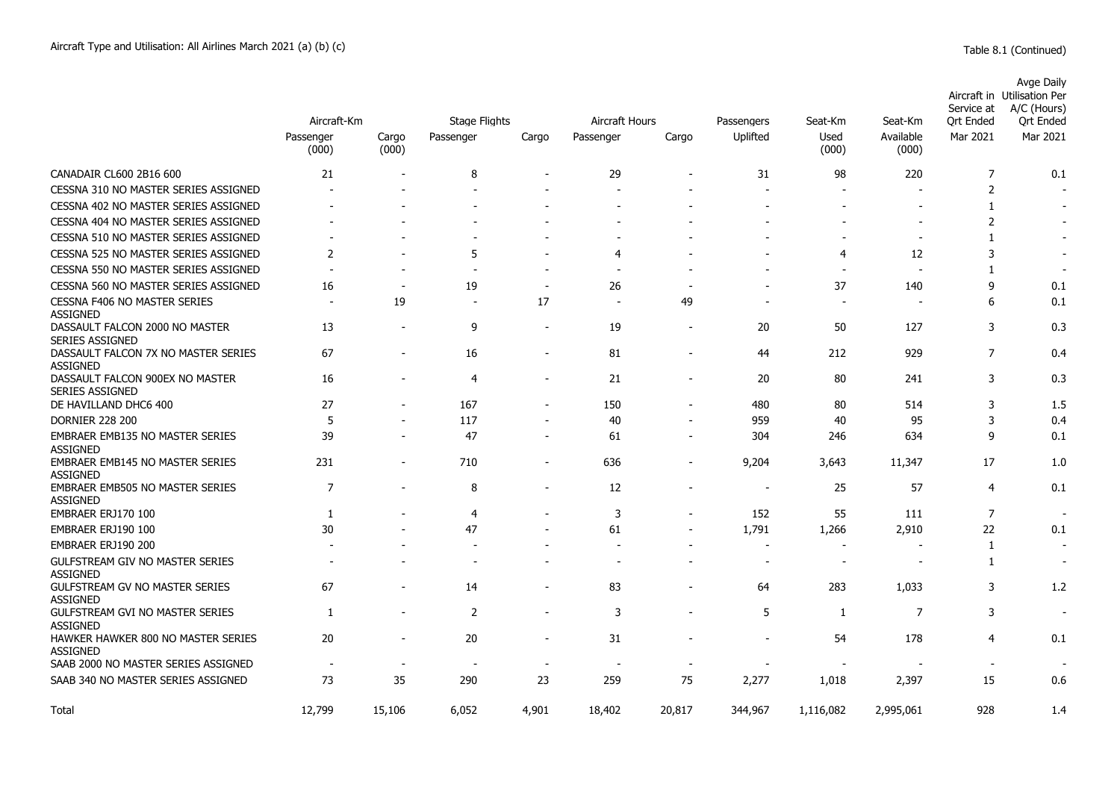|                                                                                              | Aircraft-Km                    |                          | Stage Flights                  |                                            | Aircraft Hours           |                          |                          |                                | Seat-Km                  | Service at<br>Ort Ended          | Avge Daily<br>Aircraft in Utilisation Per<br>A/C (Hours)<br>Ort Ended |
|----------------------------------------------------------------------------------------------|--------------------------------|--------------------------|--------------------------------|--------------------------------------------|--------------------------|--------------------------|--------------------------|--------------------------------|--------------------------|----------------------------------|-----------------------------------------------------------------------|
|                                                                                              | Passenger<br>(000)             | Cargo<br>(000)           | Passenger                      | Cargo                                      | Passenger                | Cargo                    | Passengers<br>Uplifted   | Seat-Km<br>Used<br>(000)       | Available<br>(000)       | Mar 2021                         | Mar 2021                                                              |
| CANADAIR CL600 2B16 600                                                                      | 21                             |                          | 8                              |                                            | 29                       |                          | 31                       | 98                             | 220                      | $\overline{7}$                   | 0.1                                                                   |
| CESSNA 310 NO MASTER SERIES ASSIGNED                                                         |                                |                          | $\blacksquare$                 |                                            |                          |                          |                          |                                |                          | $\overline{2}$                   |                                                                       |
| CESSNA 402 NO MASTER SERIES ASSIGNED                                                         |                                |                          |                                |                                            |                          |                          |                          |                                |                          | 1                                |                                                                       |
| CESSNA 404 NO MASTER SERIES ASSIGNED                                                         |                                |                          |                                |                                            |                          |                          |                          |                                |                          | $\overline{2}$                   |                                                                       |
| CESSNA 510 NO MASTER SERIES ASSIGNED                                                         |                                |                          |                                |                                            |                          |                          |                          |                                | $\overline{a}$           | 1                                |                                                                       |
| CESSNA 525 NO MASTER SERIES ASSIGNED                                                         | $\overline{2}$                 |                          | 5                              |                                            | 4                        |                          |                          | 4                              | 12                       | 3                                |                                                                       |
| CESSNA 550 NO MASTER SERIES ASSIGNED                                                         | $\overline{\phantom{a}}$       | $\overline{\phantom{a}}$ | $\sim$                         | $\sim$                                     | $\overline{\phantom{a}}$ |                          |                          | $\overline{\phantom{a}}$       | ÷                        | 1                                | $\overline{\phantom{a}}$                                              |
| CESSNA 560 NO MASTER SERIES ASSIGNED                                                         | 16                             | $\overline{\phantom{a}}$ | 19                             | $\overline{\phantom{a}}$                   | 26                       |                          |                          | 37                             | 140                      | 9                                | 0.1                                                                   |
| <b>CESSNA F406 NO MASTER SERIES</b><br><b>ASSIGNED</b>                                       | $\overline{\phantom{a}}$       | 19                       | $\blacksquare$                 | 17                                         | <b>.</b>                 | 49                       | $\overline{\phantom{a}}$ | $\blacksquare$                 | $\overline{\phantom{a}}$ | 6                                | 0.1                                                                   |
| DASSAULT FALCON 2000 NO MASTER<br><b>SERIES ASSIGNED</b>                                     | 13                             | $\overline{\phantom{a}}$ | 9                              | $\sim$                                     | 19                       | $\blacksquare$           | 20                       | 50                             | 127                      | 3                                | 0.3                                                                   |
| DASSAULT FALCON 7X NO MASTER SERIES<br><b>ASSIGNED</b>                                       | 67                             | $\overline{\phantom{a}}$ | 16                             | $\overline{\phantom{a}}$                   | 81                       | $\overline{\phantom{a}}$ | 44                       | 212                            | 929                      | $\overline{7}$                   | 0.4                                                                   |
| DASSAULT FALCON 900EX NO MASTER<br><b>SERIES ASSIGNED</b>                                    | 16                             | $\blacksquare$           | 4                              | $\overline{\phantom{a}}$                   | 21                       | $\blacksquare$           | 20                       | 80                             | 241                      | 3                                | 0.3                                                                   |
| DE HAVILLAND DHC6 400                                                                        | 27                             | $\overline{\phantom{a}}$ | 167                            | $\overline{\phantom{a}}$                   | 150                      | $\overline{\phantom{a}}$ | 480                      | 80                             | 514                      | 3                                | 1.5                                                                   |
| <b>DORNIER 228 200</b>                                                                       | 5                              | $\blacksquare$           | 117                            | $\overline{\phantom{a}}$                   | 40                       | $\blacksquare$           | 959                      | 40                             | 95                       | 3                                | 0.4                                                                   |
| EMBRAER EMB135 NO MASTER SERIES<br><b>ASSIGNED</b>                                           | 39                             |                          | 47                             | $\overline{\phantom{a}}$                   | 61                       |                          | 304                      | 246                            | 634                      | 9                                | 0.1                                                                   |
| <b>EMBRAER EMB145 NO MASTER SERIES</b><br><b>ASSIGNED</b>                                    | 231                            |                          | 710                            |                                            | 636                      |                          | 9,204                    | 3,643                          | 11,347                   | 17                               | 1.0                                                                   |
| <b>EMBRAER EMB505 NO MASTER SERIES</b><br><b>ASSIGNED</b>                                    | $\overline{7}$                 |                          | 8                              | $\overline{a}$                             | 12                       |                          | $\overline{\phantom{a}}$ | 25                             | 57                       | 4                                | 0.1                                                                   |
| EMBRAER ERJ170 100                                                                           | 1                              |                          | 4                              | $\overline{\phantom{a}}$                   | 3                        |                          | 152                      | 55                             | 111                      | $\overline{7}$                   | $\overline{\phantom{a}}$                                              |
| EMBRAER ERJ190 100                                                                           | 30                             |                          | 47                             | $\overline{\phantom{a}}$                   | 61                       |                          | 1,791                    | 1,266                          | 2,910                    | 22                               | 0.1                                                                   |
| EMBRAER ERJ190 200                                                                           |                                |                          |                                | $\blacksquare$                             | $\overline{\phantom{0}}$ | $\blacksquare$           | $\blacksquare$           | $\blacksquare$                 |                          | 1                                | $\blacksquare$                                                        |
| GULFSTREAM GIV NO MASTER SERIES<br><b>ASSIGNED</b>                                           |                                |                          |                                |                                            | $\overline{\phantom{a}}$ |                          | $\overline{\phantom{a}}$ | $\blacksquare$                 |                          | $\mathbf{1}$                     | $\overline{\phantom{a}}$                                              |
| <b>GULFSTREAM GV NO MASTER SERIES</b><br><b>ASSIGNED</b>                                     | 67                             | $\blacksquare$           | 14                             | $\overline{\phantom{a}}$                   | 83                       | $\overline{\phantom{0}}$ | 64                       | 283                            | 1,033                    | 3                                | 1.2                                                                   |
| <b>GULFSTREAM GVI NO MASTER SERIES</b><br><b>ASSIGNED</b>                                    | 1                              | $\overline{\phantom{a}}$ | 2                              | $\overline{\phantom{a}}$                   | 3                        | $\overline{\phantom{a}}$ | 5                        | 1                              | $\overline{7}$           | 3                                | $\overline{\phantom{a}}$                                              |
| HAWKER HAWKER 800 NO MASTER SERIES<br><b>ASSIGNED</b><br>SAAB 2000 NO MASTER SERIES ASSIGNED | 20<br>$\overline{\phantom{a}}$ | $\blacksquare$           | 20<br>$\overline{\phantom{a}}$ | $\overline{a}$<br>$\overline{\phantom{a}}$ | 31<br><b>.</b>           |                          |                          | 54<br>$\overline{\phantom{a}}$ | 178                      | $\overline{4}$<br>$\blacksquare$ | 0.1                                                                   |
| SAAB 340 NO MASTER SERIES ASSIGNED                                                           | 73                             | 35                       | 290                            | 23                                         | 259                      | 75                       | 2,277                    | 1,018                          | 2,397                    | 15                               | 0.6                                                                   |
| Total                                                                                        | 12,799                         | 15.106                   | 6,052                          | 4.901                                      | 18,402                   | 20,817                   | 344,967                  | 1,116,082                      | 2,995,061                | 928                              | 1.4                                                                   |